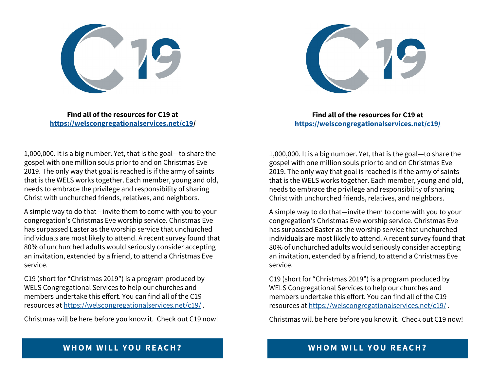**Find all of the resources for C19 at <https://welscongregationalservices.net/c19/>**



**Find all of the resources for C19 at <https://welscongregationalservices.net/c19/>**

1,000,000. It is a big number. Yet, that is the goal—to share the gospel with one million souls prior to and on Christmas Eve 2019. The only way that goal is reached is if the army of saints that is the WELS works together. Each member, young and old, needs to embrace the privilege and responsibility of sharing Christ with unchurched friends, relatives, and neighbors.

A simple way to do that—invite them to come with you to your congregation's Christmas Eve worship service. Christmas Eve has surpassed Easter as the worship service that unchurched individuals are most likely to attend. A recent survey found that 80% of unchurched adults would seriously consider accepting an invitation, extended by a friend, to attend a Christmas Eve service.

C19 (short for "Christmas 2019") is a program produced by WELS Congregational Services to help our churches and members undertake this effort. You can find all of the C19 resources at <https://welscongregationalservices.net/c19/> .

Christmas will be here before you know it. Check out C19 now!

1,000,000. It is a big number. Yet, that is the goal—to share the gospel with one million souls prior to and on Christmas Eve 2019. The only way that goal is reached is if the army of saints that is the WELS works together. Each member, young and old, needs to embrace the privilege and responsibility of sharing Christ with unchurched friends, relatives, and neighbors.

A simple way to do that—invite them to come with you to your congregation's Christmas Eve worship service. Christmas Eve has surpassed Easter as the worship service that unchurched individuals are most likely to attend. A recent survey found that 80% of unchurched adults would seriously consider accepting an invitation, extended by a friend, to attend a Christmas Eve service.

C19 (short for "Christmas 2019") is a program produced by WELS Congregational Services to help our churches and members undertake this effort. You can find all of the C19 resources at <https://welscongregationalservices.net/c19/> .

Christmas will be here before you know it. Check out C19 now!

## **WHOM WILL YOU REACH?**

## **WHOM WILL YOU REACH?**